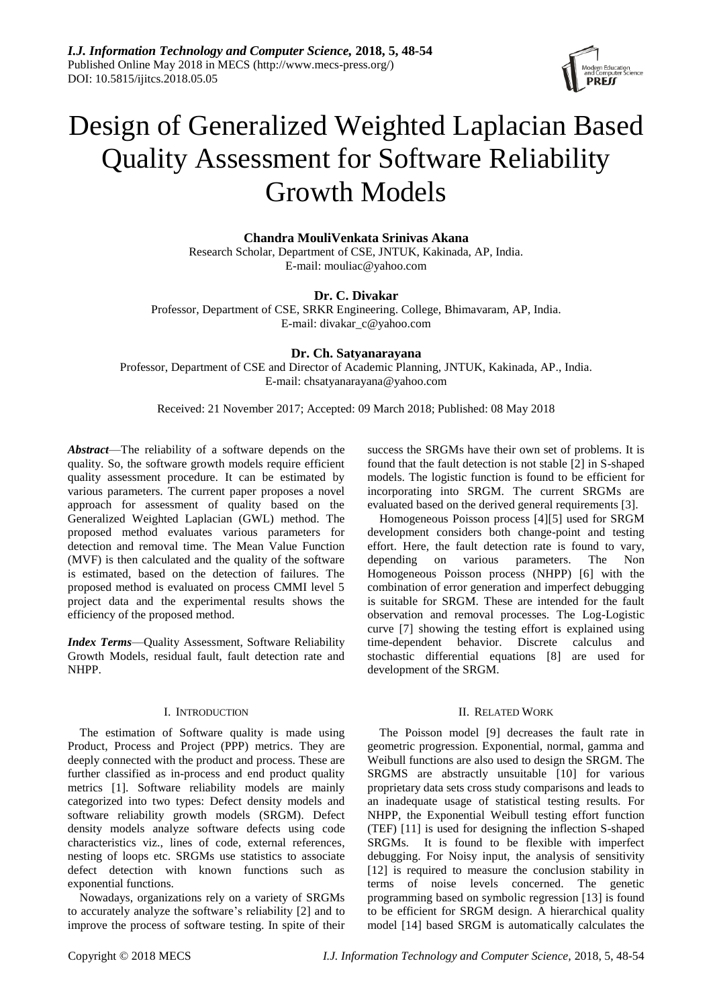

# Design of Generalized Weighted Laplacian Based Quality Assessment for Software Reliability Growth Models

**Chandra MouliVenkata Srinivas Akana**

Research Scholar, Department of CSE, JNTUK, Kakinada, AP, India. E-mail: mouliac@yahoo.com

# **Dr. C. Divakar**

Professor, Department of CSE, SRKR Engineering. College, Bhimavaram, AP, India. E-mail: divakar\_c@yahoo.com

# **Dr. Ch. Satyanarayana**

Professor, Department of CSE and Director of Academic Planning, JNTUK, Kakinada, AP., India. E-mail: chsatyanarayana@yahoo.com

Received: 21 November 2017; Accepted: 09 March 2018; Published: 08 May 2018

*Abstract*—The reliability of a software depends on the quality. So, the software growth models require efficient quality assessment procedure. It can be estimated by various parameters. The current paper proposes a novel approach for assessment of quality based on the Generalized Weighted Laplacian (GWL) method. The proposed method evaluates various parameters for detection and removal time. The Mean Value Function (MVF) is then calculated and the quality of the software is estimated, based on the detection of failures. The proposed method is evaluated on process CMMI level 5 project data and the experimental results shows the efficiency of the proposed method.

*Index Terms*—Quality Assessment, Software Reliability Growth Models, residual fault, fault detection rate and NHPP.

# I. INTRODUCTION

The estimation of Software quality is made using Product, Process and Project (PPP) metrics. They are deeply connected with the product and process. These are further classified as in-process and end product quality metrics [1]. Software reliability models are mainly categorized into two types: Defect density models and software reliability growth models (SRGM). Defect density models analyze software defects using code characteristics viz., lines of code, external references, nesting of loops etc. SRGMs use statistics to associate defect detection with known functions such as exponential functions.

Nowadays, organizations rely on a variety of SRGMs to accurately analyze the software's reliability [2] and to improve the process of software testing. In spite of their success the SRGMs have their own set of problems. It is found that the fault detection is not stable [2] in S-shaped models. The logistic function is found to be efficient for incorporating into SRGM. The current SRGMs are evaluated based on the derived general requirements [3].

Homogeneous Poisson process [4][5] used for SRGM development considers both change-point and testing effort. Here, the fault detection rate is found to vary, depending on various parameters. The Non Homogeneous Poisson process (NHPP) [6] with the combination of error generation and imperfect debugging is suitable for SRGM. These are intended for the fault observation and removal processes. The Log-Logistic curve [7] showing the testing effort is explained using time-dependent behavior. Discrete calculus and stochastic differential equations [8] are used for development of the SRGM.

# II. RELATED WORK

The Poisson model [9] decreases the fault rate in geometric progression. Exponential, normal, gamma and Weibull functions are also used to design the SRGM. The SRGMS are abstractly unsuitable [10] for various proprietary data sets cross study comparisons and leads to an inadequate usage of statistical testing results. For NHPP, the Exponential Weibull testing effort function (TEF) [11] is used for designing the inflection S-shaped SRGMs. It is found to be flexible with imperfect debugging. For Noisy input, the analysis of sensitivity [12] is required to measure the conclusion stability in terms of noise levels concerned. The genetic programming based on symbolic regression [13] is found to be efficient for SRGM design. A hierarchical quality model [14] based SRGM is automatically calculates the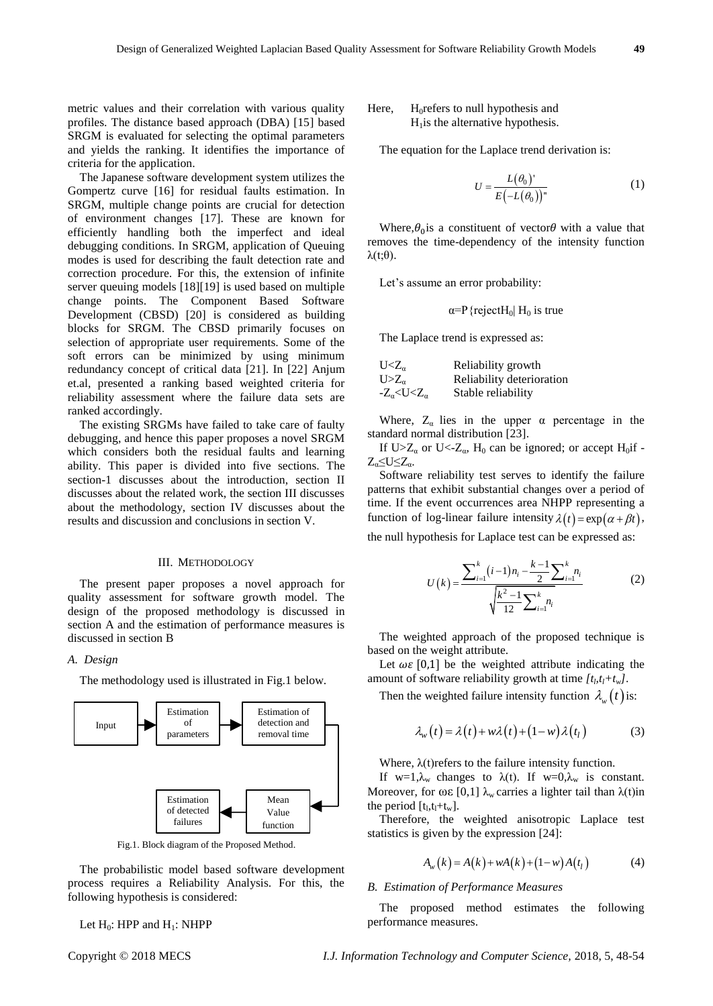metric values and their correlation with various quality profiles. The distance based approach (DBA) [15] based SRGM is evaluated for selecting the optimal parameters and yields the ranking. It identifies the importance of criteria for the application.

The Japanese software development system utilizes the Gompertz curve [16] for residual faults estimation. In SRGM, multiple change points are crucial for detection of environment changes [17]. These are known for efficiently handling both the imperfect and ideal debugging conditions. In SRGM, application of Queuing modes is used for describing the fault detection rate and correction procedure. For this, the extension of infinite server queuing models [18][19] is used based on multiple change points. The Component Based Software Development (CBSD) [20] is considered as building blocks for SRGM. The CBSD primarily focuses on selection of appropriate user requirements. Some of the soft errors can be minimized by using minimum redundancy concept of critical data [21]. In [22] Anjum et.al, presented a ranking based weighted criteria for reliability assessment where the failure data sets are ranked accordingly.

The existing SRGMs have failed to take care of faulty debugging, and hence this paper proposes a novel SRGM which considers both the residual faults and learning ability. This paper is divided into five sections. The section-1 discusses about the introduction, section II discusses about the related work, the section III discusses about the methodology, section IV discusses about the results and discussion and conclusions in section V.

#### III. METHODOLOGY

The present paper proposes a novel approach for quality assessment for software growth model. The design of the proposed methodology is discussed in section A and the estimation of performance measures is discussed in section B

# *A. Design*

The methodology used is illustrated in Fig.1 below.



Fig.1. Block diagram of the Proposed Method.

The probabilistic model based software development process requires a Reliability Analysis. For this, the following hypothesis is considered:

Let  $H_0$ : HPP and  $H_1$ : NHPP

## Here,  $H_0$ refers to null hypothesis and  $H<sub>1</sub>$  is the alternative hypothesis.

The equation for the Laplace trend derivation is:

$$
U = \frac{L(\theta_0)^{n}}{E(-L(\theta_0))^n} \tag{1}
$$

Where,  $\theta_0$  is a constituent of vector  $\theta$  with a value that removes the time-dependency of the intensity function  $λ(t;θ)$ .

Let's assume an error probability:

$$
\alpha = P
$$
{rejectH<sub>0</sub> | H<sub>0</sub> is true

The Laplace trend is expressed as:

| $U Z_{\alpha}$                 | Reliability growth        |
|--------------------------------|---------------------------|
| $U>Z_{\alpha}$                 | Reliability deterioration |
| $-Z_{\alpha} < U < Z_{\alpha}$ | Stable reliability        |

Where,  $Z_{\alpha}$  lies in the upper  $\alpha$  percentage in the standard normal distribution [23].

If U> $Z_{\alpha}$  or U<- $Z_{\alpha}$ , H<sub>0</sub> can be ignored; or accept H<sub>0</sub>if - $Z_{\alpha} \leq U \leq Z_{\alpha}$ .

Software reliability test serves to identify the failure patterns that exhibit substantial changes over a period of time. If the event occurrences area NHPP representing a function of log-linear failure intensity  $\lambda(t) = \exp(\alpha + \beta t)$ ,

the null hypothesis for Laplace test can be expressed as:

$$
U(k) = \frac{\sum_{i=1}^{k} (i-1)n_i - \frac{k-1}{2} \sum_{i=1}^{k} n_i}{\sqrt{\frac{k^2 - 1}{12} \sum_{i=1}^{k} n_i}}
$$
(2)

The weighted approach of the proposed technique is based on the weight attribute.

Let  $\omega \varepsilon$  [0,1] be the weighted attribute indicating the amount of software reliability growth at time  $[t_l, t_l + t_w]$ .

Then the weighted failure intensity function  $\lambda_w(t)$  is:

$$
\lambda_w(t) = \lambda(t) + w\lambda(t) + (1 - w)\lambda(t_1)
$$
 (3)

Where,  $\lambda(t)$  refers to the failure intensity function.

If w=1, $\lambda_w$  changes to  $\lambda(t)$ . If w=0, $\lambda_w$  is constant. Moreover, for  $ωε$  [0,1]  $λ<sub>w</sub>$  carries a lighter tail than  $λ(t)$ in the period  $[t_1, t_1 + t_w]$ .

Therefore, the weighted anisotropic Laplace test statistics is given by the expression [24]:

$$
A_w(k) = A(k) + wA(k) + (1 - w)A(t_1)
$$
 (4)

#### *B. Estimation of Performance Measures*

The proposed method estimates the following performance measures.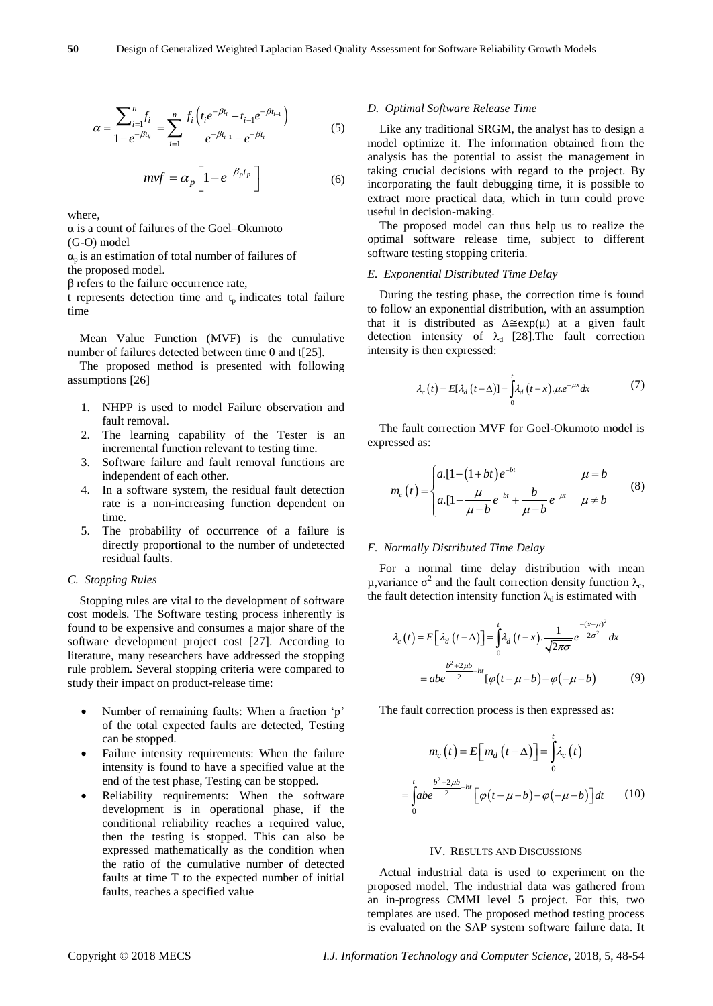$$
\alpha = \frac{\sum_{i=1}^{n} f_i}{1 - e^{-\beta t_k}} = \sum_{i=1}^{n} \frac{f_i \left( t_i e^{-\beta t_i} - t_{i-1} e^{-\beta t_{i-1}} \right)}{e^{-\beta t_{i-1}} - e^{-\beta t_i}}
$$
(5)

$$
mvf = \alpha_p \left[ 1 - e^{-\beta_p t_p} \right] \tag{6}
$$

where,

α is a count of failures of the Goel–Okumoto (G-O) model

 $\alpha_p$  is an estimation of total number of failures of

the proposed model.

β refers to the failure occurrence rate,

t represents detection time and  $t<sub>p</sub>$  indicates total failure time

Mean Value Function (MVF) is the cumulative number of failures detected between time 0 and t[25].

The proposed method is presented with following assumptions [26]

- 1. NHPP is used to model Failure observation and fault removal.
- 2. The learning capability of the Tester is an incremental function relevant to testing time.
- 3. Software failure and fault removal functions are independent of each other.
- 4. In a software system, the residual fault detection rate is a non-increasing function dependent on time.
- 5. The probability of occurrence of a failure is directly proportional to the number of undetected residual faults.

### *C. Stopping Rules*

Stopping rules are vital to the development of software cost models. The Software testing process inherently is found to be expensive and consumes a major share of the software development project cost [27]. According to literature, many researchers have addressed the stopping rule problem. Several stopping criteria were compared to study their impact on product-release time:

- Number of remaining faults: When a fraction 'p' of the total expected faults are detected, Testing can be stopped.
- Failure intensity requirements: When the failure intensity is found to have a specified value at the end of the test phase, Testing can be stopped.
- $a = \int_{-\infty}^{\infty} \int_{-\infty}^{\infty} \int_{-\infty}^{\infty} \int_{-\infty}^{\infty} \int_{-\infty}^{\infty} \int_{-\infty}^{\infty} \int_{-\infty}^{\infty} \int_{-\infty}^{\infty} \int_{-\infty}^{\infty} \int_{-\infty}^{\infty} \int_{-\infty}^{\infty} \int_{-\infty}^{\infty} \int_{-\infty}^{\infty} \int_{-\infty}^{\infty} \int_{-\infty}^{\infty} \int_{-\infty}^{\infty} \int_{-\infty}^{\infty} \int_{-\infty}^{\infty} \int$  Reliability requirements: When the software development is in operational phase, if the conditional reliability reaches a required value, then the testing is stopped. This can also be expressed mathematically as the condition when the ratio of the cumulative number of detected faults at time T to the expected number of initial faults, reaches a specified value

#### *D. Optimal Software Release Time*

Like any traditional SRGM, the analyst has to design a model optimize it. The information obtained from the analysis has the potential to assist the management in taking crucial decisions with regard to the project. By incorporating the fault debugging time, it is possible to extract more practical data, which in turn could prove useful in decision-making.

The proposed model can thus help us to realize the optimal software release time, subject to different software testing stopping criteria.

## *E. Exponential Distributed Time Delay*

During the testing phase, the correction time is found to follow an exponential distribution, with an assumption that it is distributed as  $\Delta \cong \exp(\mu)$  at a given fault detection intensity of  $\lambda_d$  [28]. The fault correction intensity is then expressed:

$$
\lambda_c(t) = E[\lambda_d(t-\Delta)] = \int_0^t \lambda_d(t-x) \cdot \mu e^{-\mu x} dx \tag{7}
$$

The fault correction MVF for Goel-Okumoto model is expressed as:

$$
m_e(t) = \begin{cases} a \cdot [1 - (1 + bt) e^{-bt} & \mu = b \\ a \cdot [1 - \frac{\mu}{\mu - b} e^{-bt} + \frac{b}{\mu - b} e^{-\mu t} & \mu \neq b \end{cases}
$$
 (8)

#### *F. Normally Distributed Time Delay*

For a normal time delay distribution with mean μ, variance  $\sigma^2$  and the fault correction density function  $\lambda_c$ , the fault detection intensity function  $\lambda_d$  is estimated with

$$
\lambda_c(t) = E\left[\lambda_d\left(t-\Delta\right)\right] = \int_0^t \lambda_d\left(t-x\right) \cdot \frac{1}{\sqrt{2\pi\sigma}} e^{-\frac{-(x-\mu)^2}{2\sigma^2}} dx
$$

$$
= abe^{-\frac{b^2 + 2\mu b}{2} - bt} \left[\varphi\left(t - \mu - b\right) - \varphi\left(-\mu - b\right)\right] \tag{9}
$$

The fault correction process is then expressed as:

$$
m_c(t) = E\Big[m_d(t-\Delta)\Big] = \int_0^t \lambda_c(t)
$$

$$
= \int_0^t \frac{b^2 + 2\mu b}{2} dt \Big[\varphi(t-\mu-b) - \varphi(-\mu-b)\Big] dt \qquad (10)
$$

#### IV. RESULTS AND DISCUSSIONS

Actual industrial data is used to experiment on the proposed model. The industrial data was gathered from an in-progress CMMI level 5 project. For this, two templates are used. The proposed method testing process is evaluated on the SAP system software failure data. It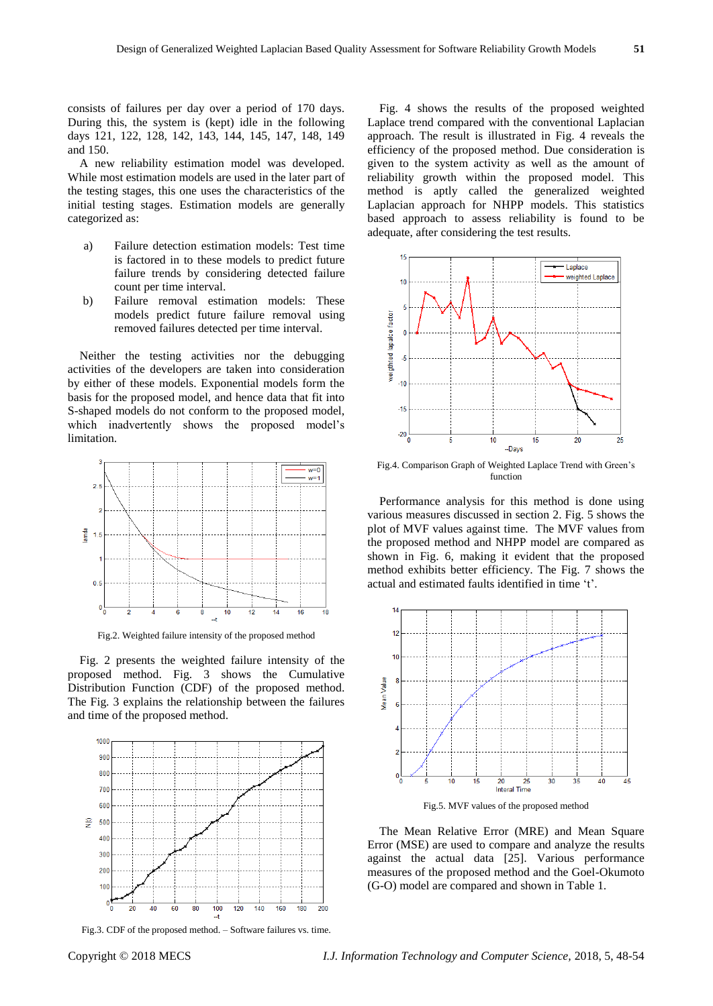consists of failures per day over a period of 170 days. During this, the system is (kept) idle in the following days 121, 122, 128, 142, 143, 144, 145, 147, 148, 149 and 150.

A new reliability estimation model was developed. While most estimation models are used in the later part of the testing stages, this one uses the characteristics of the initial testing stages. Estimation models are generally categorized as:

- a) Failure detection estimation models: Test time is factored in to these models to predict future failure trends by considering detected failure count per time interval.
- b) Failure removal estimation models: These models predict future failure removal using removed failures detected per time interval.

Neither the testing activities nor the debugging activities of the developers are taken into consideration by either of these models. Exponential models form the basis for the proposed model, and hence data that fit into S-shaped models do not conform to the proposed model, which inadvertently shows the proposed model's limitation.



Fig.2. Weighted failure intensity of the proposed method

Fig. 2 presents the weighted failure intensity of the proposed method. Fig. 3 shows the Cumulative Distribution Function (CDF) of the proposed method. The Fig. 3 explains the relationship between the failures and time of the proposed method.



Fig.3. CDF of the proposed method. – Software failures vs. time.

Fig. 4 shows the results of the proposed weighted Laplace trend compared with the conventional Laplacian approach. The result is illustrated in Fig. 4 reveals the efficiency of the proposed method. Due consideration is given to the system activity as well as the amount of reliability growth within the proposed model. This method is aptly called the generalized weighted Laplacian approach for NHPP models. This statistics based approach to assess reliability is found to be adequate, after considering the test results.



Fig.4. Comparison Graph of Weighted Laplace Trend with Green's function

Performance analysis for this method is done using various measures discussed in section 2. Fig. 5 shows the plot of MVF values against time. The MVF values from the proposed method and NHPP model are compared as shown in Fig. 6, making it evident that the proposed method exhibits better efficiency. The Fig. 7 shows the actual and estimated faults identified in time 't'.



Fig.5. MVF values of the proposed method

The Mean Relative Error (MRE) and Mean Square Error (MSE) are used to compare and analyze the results against the actual data [25]. Various performance measures of the proposed method and the Goel-Okumoto (G-O) model are compared and shown in Table 1.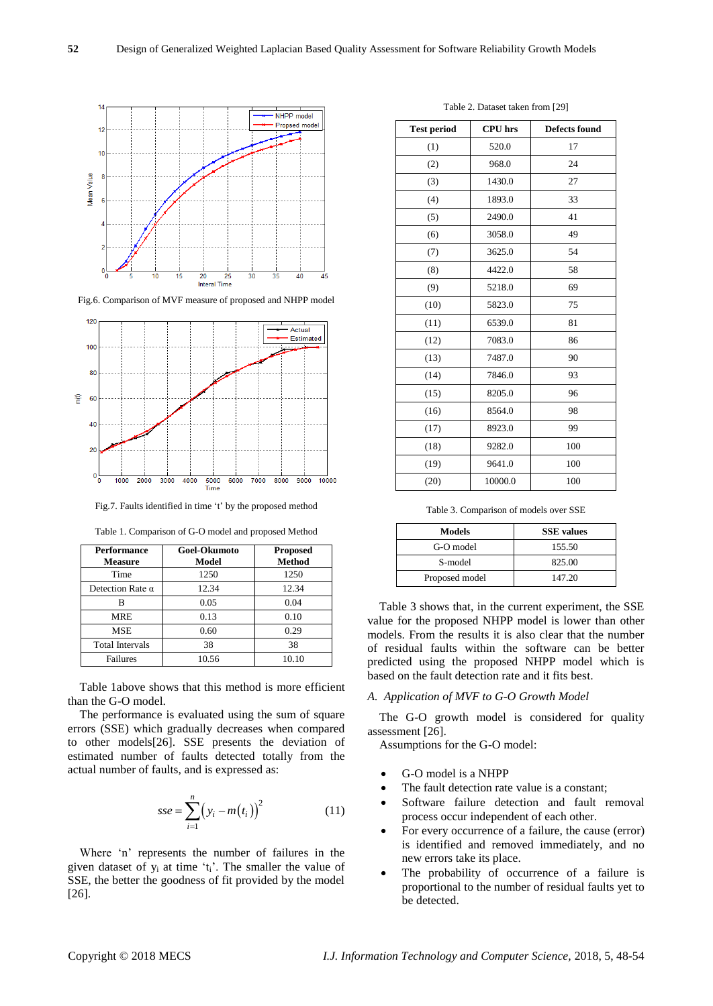

Fig.6. Comparison of MVF measure of proposed and NHPP model



Fig.7. Faults identified in time 't' by the proposed method

|  |  |  |  | Table 1. Comparison of G-O model and proposed Method |
|--|--|--|--|------------------------------------------------------|
|--|--|--|--|------------------------------------------------------|

| <b>Performance</b><br><b>Measure</b> | Goel-Okumoto<br>Model | <b>Proposed</b><br><b>Method</b> |
|--------------------------------------|-----------------------|----------------------------------|
| Time                                 | 1250                  | 1250                             |
| Detection Rate $\alpha$              | 12.34                 | 12.34                            |
| В                                    | 0.05                  | 0.04                             |
| <b>MRE</b>                           | 0.13                  | 0.10                             |
| <b>MSE</b>                           | 0.60                  | 0.29                             |
| <b>Total Intervals</b>               | 38                    | 38                               |
| Failures                             | 10.56                 | 10.10                            |

Table 1above shows that this method is more efficient than the G-O model.

The performance is evaluated using the sum of square errors (SSE) which gradually decreases when compared to other models[26]. SSE presents the deviation of estimated number of faults detected totally from the actual number of faults, and is expressed as:

$$
sse = \sum_{i=1}^{n} (y_i - m(t_i))^2
$$
 (11)

Where 'n' represents the number of failures in the given dataset of  $y_i$  at time 't<sub>i</sub>'. The smaller the value of SSE, the better the goodness of fit provided by the model [26].

| <b>Test period</b> | <b>CPU</b> hrs | <b>Defects found</b> |
|--------------------|----------------|----------------------|
| (1)                | 520.0          | 17                   |
| (2)                | 968.0          | 24                   |
| (3)                | 1430.0         | 27                   |
| (4)                | 1893.0         | 33                   |
| (5)                | 2490.0         | 41                   |
| (6)                | 3058.0         | 49                   |
| (7)                | 3625.0         | 54                   |
| (8)                | 4422.0         | 58                   |
| (9)                | 5218.0         | 69                   |
| (10)               | 5823.0         | 75                   |
| (11)               | 6539.0         | 81                   |
| (12)               | 7083.0         | 86                   |
| (13)               | 7487.0         | 90                   |
| (14)               | 7846.0         | 93                   |
| (15)               | 8205.0         | 96                   |
| (16)               | 8564.0         | 98                   |
| (17)               | 8923.0         | 99                   |
| (18)               | 9282.0         | 100                  |
| (19)               | 9641.0         | 100                  |
| (20)               | 10000.0        | 100                  |

Table 2. Dataset taken from [29]

Table 3. Comparison of models over SSE

| Models         | <b>SSE</b> values |
|----------------|-------------------|
| G-O model      | 155.50            |
| S-model        | 825.00            |
| Proposed model | 147.20            |

Table 3 shows that, in the current experiment, the SSE value for the proposed NHPP model is lower than other models. From the results it is also clear that the number of residual faults within the software can be better predicted using the proposed NHPP model which is based on the fault detection rate and it fits best.

### *A. Application of MVF to G-O Growth Model*

The G-O growth model is considered for quality assessment [26].

Assumptions for the G-O model:

- G-O model is a NHPP
- The fault detection rate value is a constant;
- Software failure detection and fault removal process occur independent of each other.
- For every occurrence of a failure, the cause (error) is identified and removed immediately, and no new errors take its place.
- The probability of occurrence of a failure is proportional to the number of residual faults yet to be detected.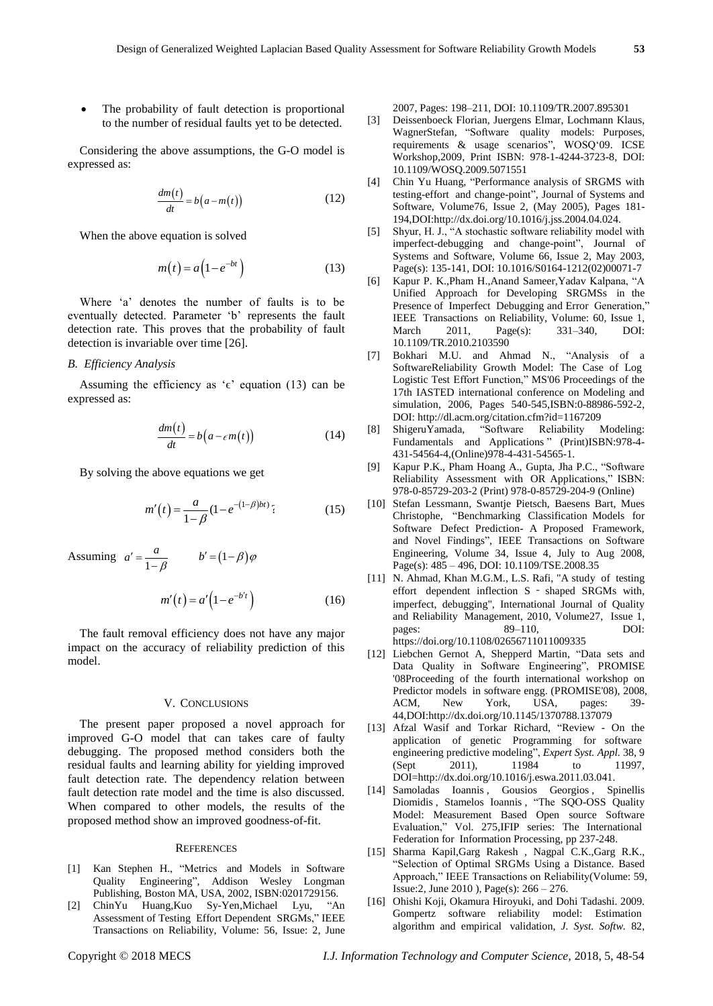The probability of fault detection is proportional to the number of residual faults yet to be detected.

Considering the above assumptions, the G-O model is expressed as:

$$
\frac{dm(t)}{dt} = b(a - m(t))\tag{12}
$$

When the above equation is solved

$$
m(t) = a\left(1 - e^{-bt}\right) \tag{13}
$$

Where 'a' denotes the number of faults is to be eventually detected. Parameter 'b' represents the fault detection rate. This proves that the probability of fault detection is invariable over time [26].

#### *B. Efficiency Analysis*

Assuming the efficiency as ' $\epsilon$ ' equation (13) can be expressed as:

$$
\frac{dm(t)}{dt} = b\big(a - \epsilon m(t)\big) \tag{14}
$$

By solving the above equations we get

$$
m'(t) = \frac{a}{1 - \beta} (1 - e^{-(1 - \beta)bt})
$$
 (15)

Assuming  $a' = \frac{1}{1}$  $a' = \frac{a}{1-\beta}$  $b' = \frac{a}{1-\beta}$   $b' = (1-\beta)\varphi$  $m'(t) = a'\left(1 - e^{-b't}\right)$  (16)

The fault removal efficiency does not have any major impact on the accuracy of reliability prediction of this model.

#### V. CONCLUSIONS

The present paper proposed a novel approach for improved G-O model that can takes care of faulty debugging. The proposed method considers both the residual faults and learning ability for yielding improved fault detection rate. The dependency relation between fault detection rate model and the time is also discussed. When compared to other models, the results of the proposed method show an improved goodness-of-fit.

#### **REFERENCES**

- [1] Kan Stephen H., "Metrics. and Models. in Software Quality, Engineering", Addison Wesley Longman Publishing, Boston MA, USA, 2002, ISBN:0201729156.
- [2] ChinYu Huang[,Kuo](http://ieeexplore.ieee.org/search/searchresult.jsp?searchWithin=%22Authors%22:.QT.Sy-Yen%20Kuo.QT.&newsearch=true) Sy-Ye[n,Michael Lyu,](http://ieeexplore.ieee.org/search/searchresult.jsp?searchWithin=%22Authors%22:.QT.Michael%20R.%20Lyu.QT.&newsearch=true) "An Assessment of Testing, Effort Dependent, SRGMs," IEEE Transactions on Reliability, Volume: 56, [Issue: 2,](http://ieeexplore.ieee.org/xpl/tocresult.jsp?isnumber=4220773) June

2007, Pages: 198–211, DOI: 10.1109/TR.2007.895301

- [3] Deissenboeck Florian, Juergens Elmar, Lochmann Klaus, WagnerStefan, "Software quality models: Purposes, requirements & usage scenarios", WOSQ'09. ICSE Workshop,2009, Print ISBN: 978-1-4244-3723-8, DOI: 10.1109/WOSQ.2009.5071551
- [4] Chin Yu Huang, "Performance analysis of SRGMS with testing-effort, and change-point", Journal of Systems and Software, Volume76, Issue 2, (May 2005), Pages 181- 194,DOI:http://dx.doi.org/10.1016/j.jss.2004.04.024.
- [5] Shyur, H. J., "A stochastic software reliability model with imperfect-debugging and change-point", Journal of Systems and Software, Volume 66, Issue 2, May 2003, Page(s): 135-141, DOI: 10.1016/S0164-1212(02)00071-7
- [6] [Kapur](http://ieeexplore.ieee.org/search/searchresult.jsp?searchWithin=%22Authors%22:.QT.P.%20K.%20Kapur.QT.&newsearch=true) P. K.,Pham H.,Anand [Sameer,](http://ieeexplore.ieee.org/search/searchresult.jsp?searchWithin=%22Authors%22:.QT.Sameer%20Anand.QT.&newsearch=true)Yadav Kalpana, "A Unified Approach for Developing SRGMSs in the Presence of Imperfect, Debugging and Error, Generation," IEEE Transactions on Reliability, Volume: 60, Issue 1, March 2011, Page(s): 331–340, DOI: 10.1109/TR.2010.2103590
- [7] Bokhari M.U. and Ahmad N., "Analysis of a SoftwareReliability Growth Model: The Case of Log, Logistic Test Effort Function," MS'06 Proceedings of the 17th IASTED international conference on Modeling and simulation, 2006, Pages 540-545,ISBN:0-88986-592-2, DOI: http://dl.acm.org/citation.cfm?id=1167209
- [8] Shiger[uYamada,](http://link.springer.com/search?facet-creator=%22Shigeru+Yamada%22) "Software Reliability Modeling: Fundamentals and Applications" (Print)ISBN:978-4-431-54564-4,(Online)978-4-431-54565-1.
- [9] [Kapur](http://link.springer.com/search?facet-creator=%22P.K.+Kapur%22) P.K., Pham Hoang A., [Gupta,](http://link.springer.com/search?facet-creator=%22A.+Gupta%22) [Jha](http://link.springer.com/search?facet-creator=%22P.C.+Jha%22) P.C., "Software Reliability Assessment with OR Applications," ISBN: 978-0-85729-203-2 (Print) 978-0-85729-204-9 (Online)
- [10] Stefan Lessmann, [Swantje](http://ieeexplore.ieee.org/search/searchresult.jsp?searchWithin=%22Authors%22:.QT.Swantje%20Pietsch.QT.&newsearch=true) Pietsch, [Baesens](http://ieeexplore.ieee.org/search/searchresult.jsp?searchWithin=%22Authors%22:.QT.Bart%20Baesens.QT.&newsearch=true) Bart, Mues [Christophe,](http://ieeexplore.ieee.org/search/searchresult.jsp?searchWithin=%22Authors%22:.QT.Christophe%20Mues.QT.&newsearch=true) "Benchmarking, Classification Models, for Software Defect Prediction- A Proposed Framework, and Novel Findings", [IEEE Transactions](http://ieeexplore.ieee.org/xpl/RecentIssue.jsp?punumber=32) on Software [Engineering,](http://ieeexplore.ieee.org/xpl/RecentIssue.jsp?punumber=32) Volume 34, [Issue](http://ieeexplore.ieee.org/xpl/tocresult.jsp?isnumber=4585922) 4, July to Aug 2008, Page(s): 485 – 496, DOI: 10.1109/TSE.2008.35
- [11] N. Ahmad, Khan M.G.M., L.S. [Rafi,](http://www.emeraldinsight.com/author/Rafi%2C+LS) "A study of testing effort dependent inflection S - shaped SRGMs with, imperfect, debugging", International Journal of Quality and Reliability, Management, 2010, Volume27, Issue 1, pages: 89–110, DOI: https://doi.org/10.1108/02656711011009335
- [12] Liebchen Gernot A, Shepperd Martin, "Data sets and Data Quality in Software Engineering", PROMISE '08Proceeding of the fourth international workshop on Predictor models, in software engg. (PROMISE'08), 2008, ACM, New York, USA, pages: 39- 44,DOI:http://dx.doi.org/10.1145/1370788.137079
- [13] Afzal Wasif and Torkar Richard, "Review On the application of genetic Programming for software engineering predictive modeling", *Expert Syst. Appl.* 38, 9 (Sept 2011), 11984 to 11997, DOI=http://dx.doi.org/10.1016/j.eswa.2011.03.041.
- [14] Samoladas Ioannis , Gousios Georgios , Spinellis Diomidis , Stamelos Ioannis , "The SQO-OSS Quality Model: Measurement Based Open source Software Evaluation," Vol. 275,IFIP series: The International, Federation for Information Processing, pp 237-248.
- [15] [Sharma](http://ieeexplore.ieee.org/search/searchresult.jsp?searchWithin=%22Authors%22:.QT.Kapil%20Sharma.QT.&newsearch=true) Kapil,Garg [Rakesh ,](http://ieeexplore.ieee.org/search/searchresult.jsp?searchWithin=%22Authors%22:.QT.Rakesh%20Garg.QT.&newsearch=true) [Nagpal](http://ieeexplore.ieee.org/search/searchresult.jsp?searchWithin=%22Authors%22:.QT.C.%20K.%20Nagpal.QT.&newsearch=true) C.K[.,Garg](http://ieeexplore.ieee.org/search/searchresult.jsp?searchWithin=%22Authors%22:.QT.R.%20K.%20Garg.QT.&newsearch=true) R.K., "Selection of Optimal SRGMs Using a Distance. Based Approach," IEEE Transactions on Reliability(Volume: 59, [Issue:2,](http://ieeexplore.ieee.org/xpl/tocresult.jsp?isnumber=5475442) June 2010 ), Page(s): 266 – 276.
- [16] Ohishi Koji, Okamura Hiroyuki, and Dohi Tadashi. 2009. Gompertz software reliability model: Estimation, algorithm and empirical, validation, *J. Syst. Softw.* 82,